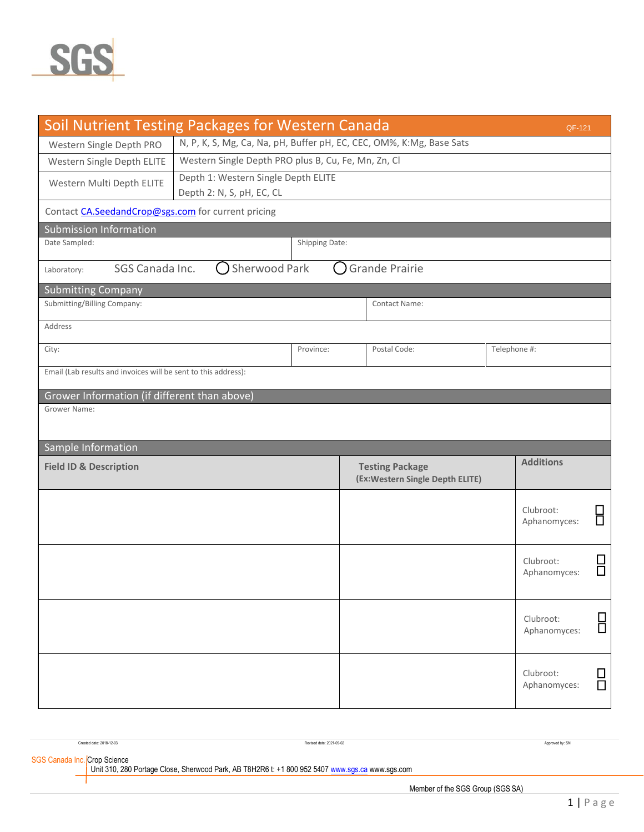

| <b>Soil Nutrient Testing Packages for Western Canada</b>                        |                                                                      |                |                                                            |  | QF-121                    |        |  |  |  |
|---------------------------------------------------------------------------------|----------------------------------------------------------------------|----------------|------------------------------------------------------------|--|---------------------------|--------|--|--|--|
| Western Single Depth PRO                                                        | N, P, K, S, Mg, Ca, Na, pH, Buffer pH, EC, CEC, OM%, K:Mg, Base Sats |                |                                                            |  |                           |        |  |  |  |
| Western Single Depth ELITE                                                      | Western Single Depth PRO plus B, Cu, Fe, Mn, Zn, Cl                  |                |                                                            |  |                           |        |  |  |  |
| Western Multi Depth ELITE                                                       | Depth 1: Western Single Depth ELITE<br>Depth 2: N, S, pH, EC, CL     |                |                                                            |  |                           |        |  |  |  |
| Contact CA.SeedandCrop@sgs.com for current pricing                              |                                                                      |                |                                                            |  |                           |        |  |  |  |
| <b>Submission Information</b>                                                   |                                                                      |                |                                                            |  |                           |        |  |  |  |
| Date Sampled:                                                                   |                                                                      | Shipping Date: |                                                            |  |                           |        |  |  |  |
| <b>Sherwood Park</b><br>SGS Canada Inc.<br><b>Grande Prairie</b><br>Laboratory: |                                                                      |                |                                                            |  |                           |        |  |  |  |
| <b>Submitting Company</b>                                                       |                                                                      |                |                                                            |  |                           |        |  |  |  |
| Submitting/Billing Company:                                                     |                                                                      |                | <b>Contact Name:</b>                                       |  |                           |        |  |  |  |
| Address                                                                         |                                                                      |                |                                                            |  |                           |        |  |  |  |
| City:                                                                           | Province:                                                            |                | Postal Code:                                               |  | Telephone #:              |        |  |  |  |
| Email (Lab results and invoices will be sent to this address):                  |                                                                      |                |                                                            |  |                           |        |  |  |  |
| Grower Information (if different than above)                                    |                                                                      |                |                                                            |  |                           |        |  |  |  |
| Grower Name:                                                                    |                                                                      |                |                                                            |  |                           |        |  |  |  |
|                                                                                 |                                                                      |                |                                                            |  |                           |        |  |  |  |
| Sample Information                                                              |                                                                      |                |                                                            |  |                           |        |  |  |  |
| <b>Field ID &amp; Description</b>                                               |                                                                      |                | <b>Testing Package</b><br>(Ex: Western Single Depth ELITE) |  | <b>Additions</b>          |        |  |  |  |
|                                                                                 |                                                                      |                |                                                            |  | Clubroot:<br>Aphanomyces: | Ō      |  |  |  |
|                                                                                 |                                                                      |                |                                                            |  | Clubroot:<br>Aphanomyces: | $\Box$ |  |  |  |
|                                                                                 |                                                                      |                |                                                            |  | Clubroot:<br>Aphanomyces: | 8      |  |  |  |
|                                                                                 |                                                                      |                |                                                            |  | Clubroot:<br>Aphanomyces: | $\Box$ |  |  |  |

| Created date: 2018-12-03                                                                                                        | Revised date: 2021-09-02 |   | Approved by: SN |
|---------------------------------------------------------------------------------------------------------------------------------|--------------------------|---|-----------------|
| SGS Canada Inc. Crop Science<br>Unit 310, 280 Portage Close, Sherwood Park, AB T8H2R6 t: +1 800 952 5407 www.sgs.ca www.sgs.com |                          |   |                 |
|                                                                                                                                 |                          | . |                 |